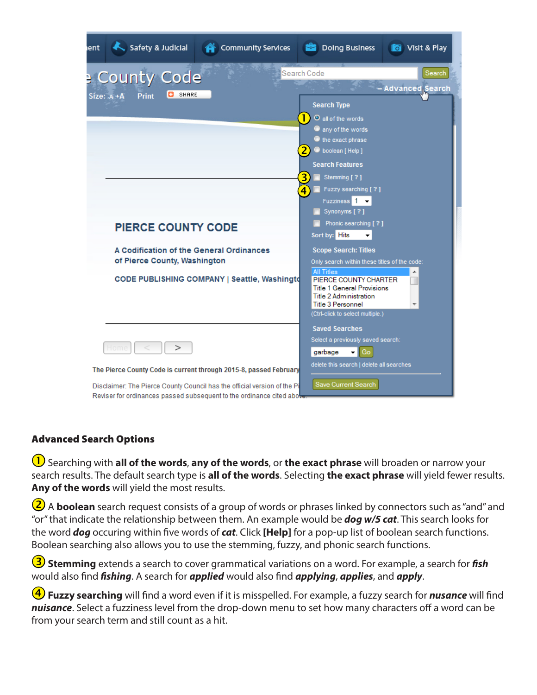| Safety & Judicial<br>ıent                                         | <b>Community Services</b>                                                                                                                         | <b>Doing Business</b>                                                                                                                                                            | <b>To</b> Visit & Play |
|-------------------------------------------------------------------|---------------------------------------------------------------------------------------------------------------------------------------------------|----------------------------------------------------------------------------------------------------------------------------------------------------------------------------------|------------------------|
| <b>E</b> County Code<br>SHARE<br>Size: - A+A<br>α<br><b>Print</b> |                                                                                                                                                   | Search Code<br>Search<br>- Advanced Search                                                                                                                                       |                        |
|                                                                   |                                                                                                                                                   | <b>Search Type</b><br>$\mathbf{1}$<br>O all of the words                                                                                                                         |                        |
|                                                                   |                                                                                                                                                   | any of the words<br>the exact phrase                                                                                                                                             |                        |
|                                                                   |                                                                                                                                                   | 2<br>boolean [Help]<br><b>Search Features</b>                                                                                                                                    |                        |
|                                                                   |                                                                                                                                                   | 3<br>Stemming [ ? ]<br>Fuzzy searching [?]<br>4                                                                                                                                  |                        |
|                                                                   |                                                                                                                                                   | Fuzziness 1 v<br>Synonyms [?]                                                                                                                                                    |                        |
| <b>PIERCE COUNTY CODE</b>                                         |                                                                                                                                                   | Phonic searching [ ? ]<br>Sort by: Hits                                                                                                                                          |                        |
| of Pierce County, Washington                                      | A Codification of the General Ordinances                                                                                                          | <b>Scope Search: Titles</b><br>Only search within these titles of the code:                                                                                                      |                        |
|                                                                   | CODE PUBLISHING COMPANY   Seattle, Washingtd                                                                                                      | <b>All Titles</b><br>PIERCE COUNTY CHARTER<br><b>Title 1 General Provisions</b><br><b>Title 2 Administration</b><br><b>Title 3 Personnel</b><br>(Ctrl-click to select multiple.) |                        |
| Home<br>>                                                         |                                                                                                                                                   | <b>Saved Searches</b><br>Select a previously saved search:<br>garbage<br>Go.                                                                                                     |                        |
|                                                                   | The Pierce County Code is current through 2015-8, passed February                                                                                 | delete this search   delete all searches                                                                                                                                         |                        |
|                                                                   | Disclaimer: The Pierce County Council has the official version of the Pi<br>Reviser for ordinances passed subsequent to the ordinance cited above | Save Current Search                                                                                                                                                              |                        |

## Advanced Search Options

 Searching with **all of the words**, **any of the words**, or **the exact phrase** will broaden or narrow your search results. The default search type is **all of the words**. Selecting **the exact phrase** will yield fewer results. **Any of the words** will yield the most results.

 A **boolean** search request consists of a group of words or phrases linked by connectors such as "and" and "or" that indicate the relationship between them. An example would be *dog w/5 cat*. This search looks for the word *dog* occuring within five words of *cat*. Click **[Help]** for a pop-up list of boolean search functions. Boolean searching also allows you to use the stemming, fuzzy, and phonic search functions.

**Stemming** extends a search to cover grammatical variations on a word. For example, a search for *fish* would also find *fishing*. A search for *applied* would also find *applying*, *applies*, and *apply*.

**Fuzzy searching** will find a word even if it is misspelled. For example, a fuzzy search for *nusance* will find *nuisance*. Select a fuzziness level from the drop-down menu to set how many characters off a word can be from your search term and still count as a hit.